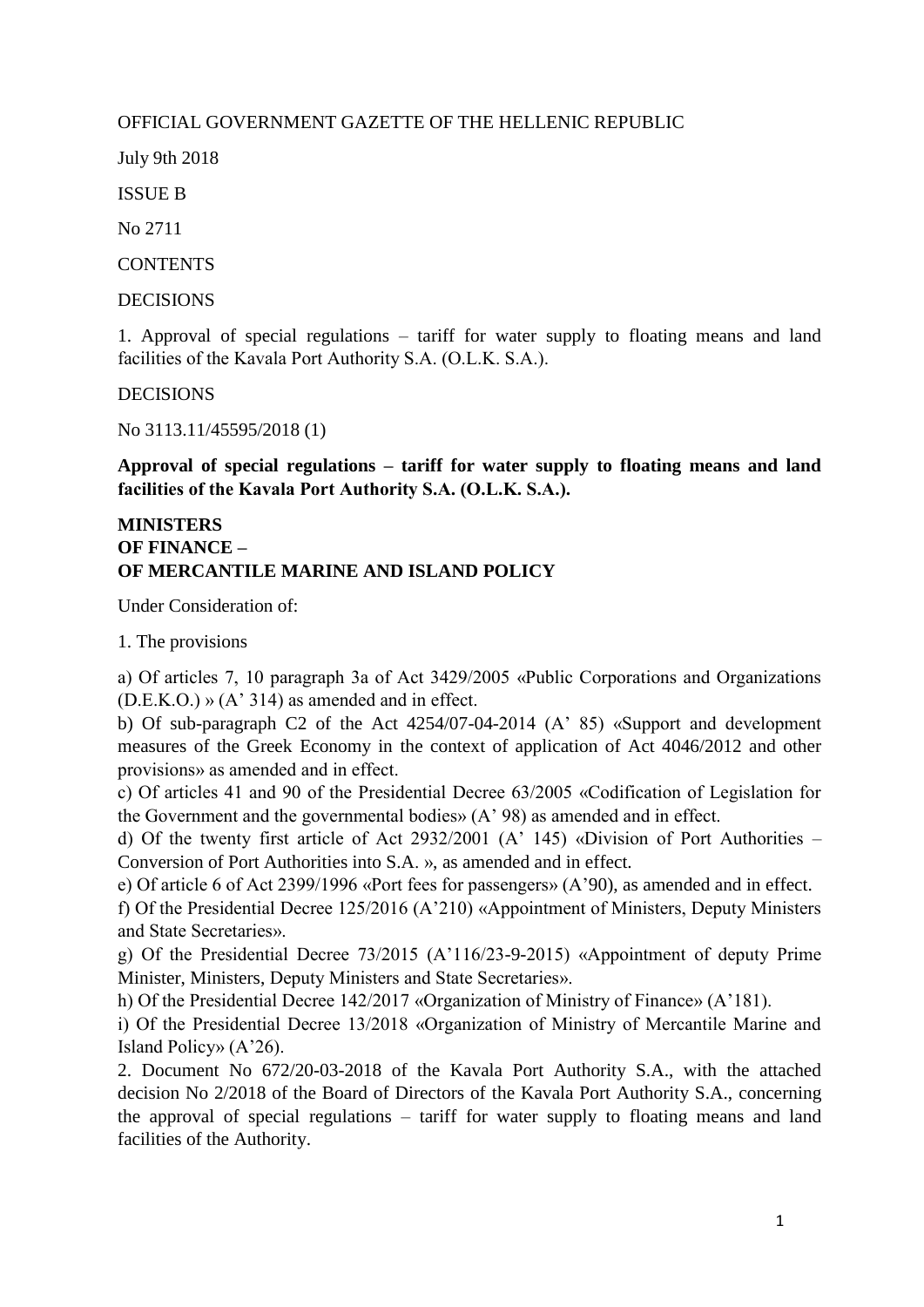## OFFICIAL GOVERNMENT GAZETTE OF THE HELLENIC REPUBLIC

July 9th 2018

ISSUE B

No 2711

**CONTENTS** 

DECISIONS

1. Approval of special regulations – tariff for water supply to floating means and land facilities of the Kavala Port Authority S.A. (Ο.L.Κ. S.A.).

DECISIONS

No 3113.11/45595/2018 (1)

**Approval of special regulations – tariff for water supply to floating means and land facilities of the Kavala Port Authority S.A. (Ο.L.Κ. S.A.).**

## **MINISTERS OF FINANCE – OF MERCANTILE MARINE AND ISLAND POLICY**

Under Consideration of:

1. The provisions

a) Of articles 7, 10 paragraph 3a of Act 3429/2005 «Public Corporations and Organizations (D.Ε.Κ.Ο.) » (Α' 314) as amended and in effect.

b) Of sub-paragraph C2 of the Act 4254/07-04-2014 (A' 85) «Support and development measures of the Greek Economy in the context of application of Act 4046/2012 and other provisions» as amended and in effect.

c) Of articles 41 and 90 of the Presidential Decree 63/2005 «Codification of Legislation for the Government and the governmental bodies» (Α' 98) as amended and in effect.

d) Of the twenty first article of Act 2932/2001 (Α' 145) «Division of Port Authorities – Conversion of Port Authorities into S.A. », as amended and in effect.

e) Of article 6 of Act 2399/1996 «Port fees for passengers» (Α'90), as amended and in effect.

f) Of the Presidential Decree 125/2016 (A'210) «Appointment of Ministers, Deputy Ministers and State Secretaries».

g) Of the Presidential Decree 73/2015 (Α'116/23-9-2015) «Appointment of deputy Prime Minister, Ministers, Deputy Ministers and State Secretaries».

h) Of the Presidential Decree 142/2017 «Organization of Ministry of Finance» (Α'181).

i) Of the Presidential Decree 13/2018 «Organization of Ministry of Mercantile Marine and Island Policy» (Α'26).

2. Document No 672/20-03-2018 of the Kavala Port Authority S.A., with the attached decision No 2/2018 of the Board of Directors of the Kavala Port Authority S.A., concerning the approval of special regulations – tariff for water supply to floating means and land facilities of the Authority.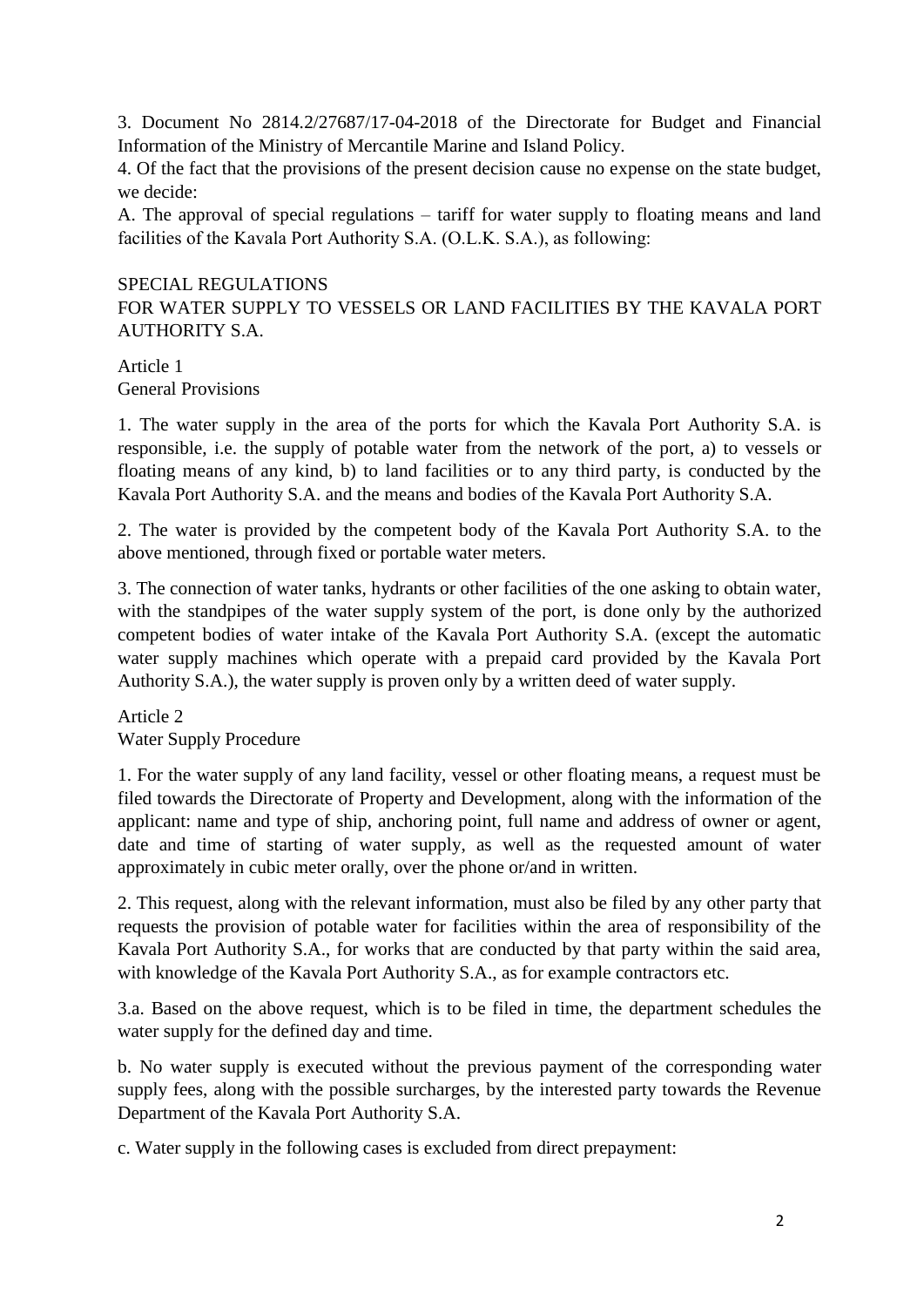3. Document No 2814.2/27687/17-04-2018 of the Directorate for Budget and Financial Information of the Ministry of Mercantile Marine and Island Policy.

4. Of the fact that the provisions of the present decision cause no expense on the state budget, we decide:

A. The approval of special regulations – tariff for water supply to floating means and land facilities of the Kavala Port Authority S.A. (Ο.L.Κ. S.A.), as following:

## SPECIAL REGULATIONS

FOR WATER SUPPLY TO VESSELS OR LAND FACILITIES BY THE KAVALA PORT AUTHORITY S.A.

#### Article 1 General Provisions

1. The water supply in the area of the ports for which the Kavala Port Authority S.A. is responsible, i.e. the supply of potable water from the network of the port, a) to vessels or floating means of any kind, b) to land facilities or to any third party, is conducted by the Kavala Port Authority S.A. and the means and bodies of the Kavala Port Authority S.A.

2. The water is provided by the competent body of the Kavala Port Authority S.A. to the above mentioned, through fixed or portable water meters.

3. The connection of water tanks, hydrants or other facilities of the one asking to obtain water, with the standpipes of the water supply system of the port, is done only by the authorized competent bodies of water intake of the Kavala Port Authority S.A. (except the automatic water supply machines which operate with a prepaid card provided by the Kavala Port Authority S.A.), the water supply is proven only by a written deed of water supply.

Article 2 Water Supply Procedure

1. For the water supply of any land facility, vessel or other floating means, a request must be filed towards the Directorate of Property and Development, along with the information of the applicant: name and type of ship, anchoring point, full name and address of owner or agent, date and time of starting of water supply, as well as the requested amount of water approximately in cubic meter orally, over the phone or/and in written.

2. This request, along with the relevant information, must also be filed by any other party that requests the provision of potable water for facilities within the area of responsibility of the Kavala Port Authority S.A., for works that are conducted by that party within the said area, with knowledge of the Kavala Port Authority S.A., as for example contractors etc.

3.a. Based on the above request, which is to be filed in time, the department schedules the water supply for the defined day and time.

b. No water supply is executed without the previous payment of the corresponding water supply fees, along with the possible surcharges, by the interested party towards the Revenue Department of the Kavala Port Authority S.A.

c. Water supply in the following cases is excluded from direct prepayment: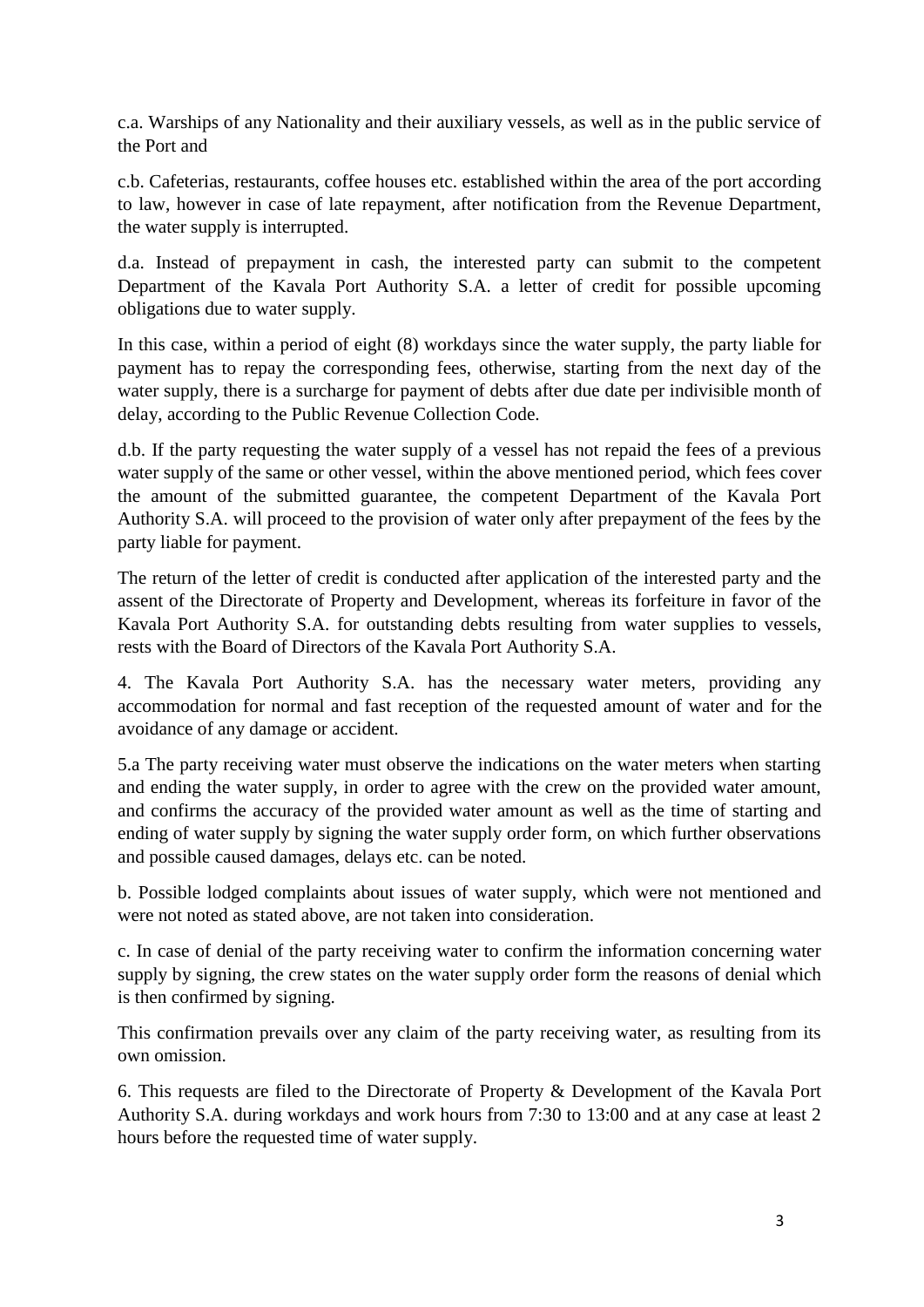c.a. Warships of any Nationality and their auxiliary vessels, as well as in the public service of the Port and

c.b. Cafeterias, restaurants, coffee houses etc. established within the area of the port according to law, however in case of late repayment, after notification from the Revenue Department, the water supply is interrupted.

d.a. Instead of prepayment in cash, the interested party can submit to the competent Department of the Kavala Port Authority S.A. a letter of credit for possible upcoming obligations due to water supply.

In this case, within a period of eight (8) workdays since the water supply, the party liable for payment has to repay the corresponding fees, otherwise, starting from the next day of the water supply, there is a surcharge for payment of debts after due date per indivisible month of delay, according to the Public Revenue Collection Code.

d.b. If the party requesting the water supply of a vessel has not repaid the fees of a previous water supply of the same or other vessel, within the above mentioned period, which fees cover the amount of the submitted guarantee, the competent Department of the Kavala Port Authority S.A. will proceed to the provision of water only after prepayment of the fees by the party liable for payment.

The return of the letter of credit is conducted after application of the interested party and the assent of the Directorate of Property and Development, whereas its forfeiture in favor of the Kavala Port Authority S.A. for outstanding debts resulting from water supplies to vessels, rests with the Board of Directors of the Kavala Port Authority S.A.

4. The Kavala Port Authority S.A. has the necessary water meters, providing any accommodation for normal and fast reception of the requested amount of water and for the avoidance of any damage or accident.

5.a The party receiving water must observe the indications on the water meters when starting and ending the water supply, in order to agree with the crew on the provided water amount, and confirms the accuracy of the provided water amount as well as the time of starting and ending of water supply by signing the water supply order form, on which further observations and possible caused damages, delays etc. can be noted.

b. Possible lodged complaints about issues of water supply, which were not mentioned and were not noted as stated above, are not taken into consideration.

c. In case of denial of the party receiving water to confirm the information concerning water supply by signing, the crew states on the water supply order form the reasons of denial which is then confirmed by signing.

This confirmation prevails over any claim of the party receiving water, as resulting from its own omission.

6. This requests are filed to the Directorate of Property & Development of the Kavala Port Authority S.A. during workdays and work hours from 7:30 to 13:00 and at any case at least 2 hours before the requested time of water supply.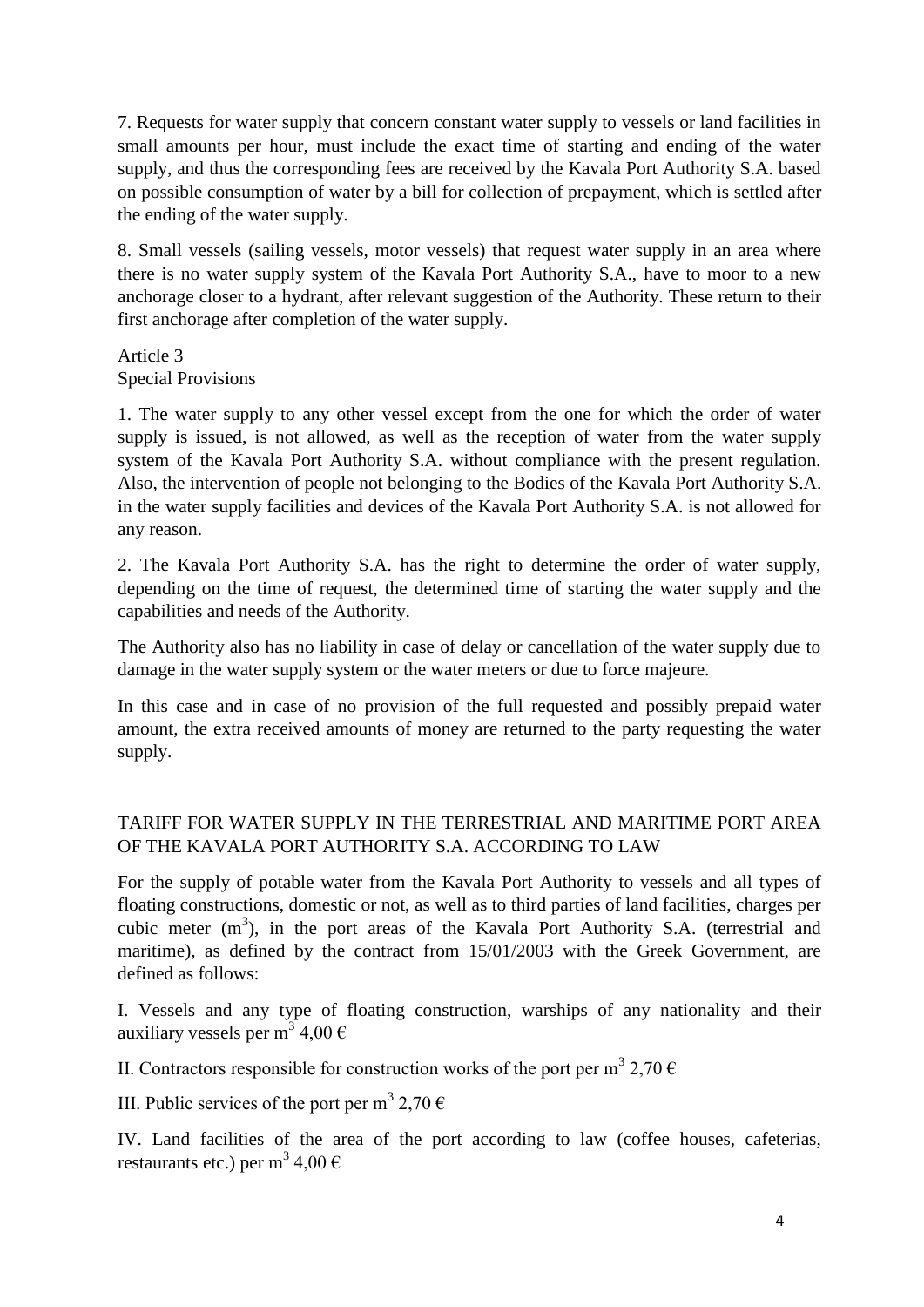7. Requests for water supply that concern constant water supply to vessels or land facilities in small amounts per hour, must include the exact time of starting and ending of the water supply, and thus the corresponding fees are received by the Kavala Port Authority S.A. based on possible consumption of water by a bill for collection of prepayment, which is settled after the ending of the water supply.

8. Small vessels (sailing vessels, motor vessels) that request water supply in an area where there is no water supply system of the Kavala Port Authority S.A., have to moor to a new anchorage closer to a hydrant, after relevant suggestion of the Authority. These return to their first anchorage after completion of the water supply.

Article 3 Special Provisions

1. The water supply to any other vessel except from the one for which the order of water supply is issued, is not allowed, as well as the reception of water from the water supply system of the Kavala Port Authority S.A. without compliance with the present regulation. Also, the intervention of people not belonging to the Bodies of the Kavala Port Authority S.A. in the water supply facilities and devices of the Kavala Port Authority S.A. is not allowed for any reason.

2. The Kavala Port Authority S.A. has the right to determine the order of water supply, depending on the time of request, the determined time of starting the water supply and the capabilities and needs of the Authority.

The Authority also has no liability in case of delay or cancellation of the water supply due to damage in the water supply system or the water meters or due to force majeure.

In this case and in case of no provision of the full requested and possibly prepaid water amount, the extra received amounts of money are returned to the party requesting the water supply.

# TARIFF FOR WATER SUPPLY IN THE TERRESTRIAL AND MARITIME PORT AREA OF THE KAVALA PORT AUTHORITY S.A. ACCORDING TO LAW

For the supply of potable water from the Kavala Port Authority to vessels and all types of floating constructions, domestic or not, as well as to third parties of land facilities, charges per cubic meter  $(m^3)$ , in the port areas of the Kavala Port Authority S.A. (terrestrial and maritime), as defined by the contract from 15/01/2003 with the Greek Government, are defined as follows:

I. Vessels and any type of floating construction, warships of any nationality and their auxiliary vessels per m<sup>3</sup> 4,00  $\epsilon$ 

II. Contractors responsible for construction works of the port per m<sup>3</sup> 2,70  $\epsilon$ 

III. Public services of the port per m<sup>3</sup> 2,70  $\epsilon$ 

IV. Land facilities of the area of the port according to law (coffee houses, cafeterias, restaurants etc.) per m $^3$  4,00  $\in$